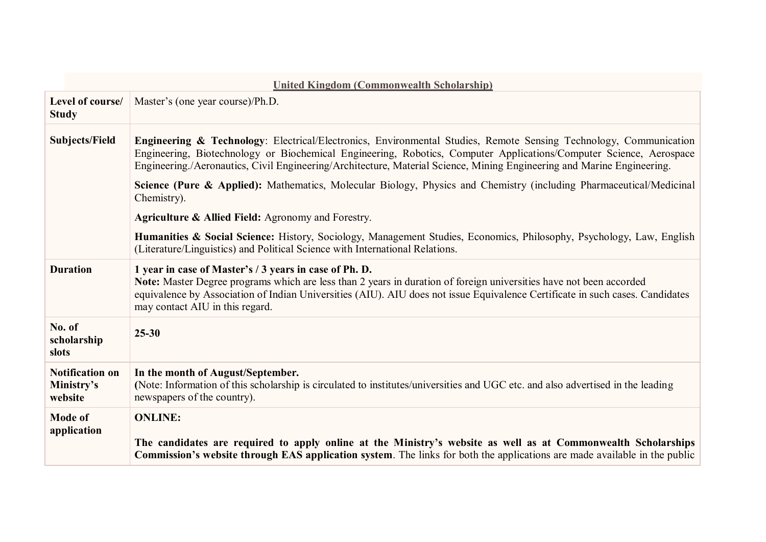| United Kingdom (Commonwealth Scholarship) |  |  |
|-------------------------------------------|--|--|
|-------------------------------------------|--|--|

| Level of course/<br><b>Study</b>                | Master's (one year course)/Ph.D.                                                                                                                                                                                                                                                                                                                                  |  |
|-------------------------------------------------|-------------------------------------------------------------------------------------------------------------------------------------------------------------------------------------------------------------------------------------------------------------------------------------------------------------------------------------------------------------------|--|
| <b>Subjects/Field</b>                           | Engineering & Technology: Electrical/Electronics, Environmental Studies, Remote Sensing Technology, Communication<br>Engineering, Biotechnology or Biochemical Engineering, Robotics, Computer Applications/Computer Science, Aerospace<br>Engineering./Aeronautics, Civil Engineering/Architecture, Material Science, Mining Engineering and Marine Engineering. |  |
|                                                 | Science (Pure & Applied): Mathematics, Molecular Biology, Physics and Chemistry (including Pharmaceutical/Medicinal<br>Chemistry).                                                                                                                                                                                                                                |  |
|                                                 | <b>Agriculture &amp; Allied Field: Agronomy and Forestry.</b>                                                                                                                                                                                                                                                                                                     |  |
|                                                 | Humanities & Social Science: History, Sociology, Management Studies, Economics, Philosophy, Psychology, Law, English<br>(Literature/Linguistics) and Political Science with International Relations.                                                                                                                                                              |  |
| <b>Duration</b>                                 | 1 year in case of Master's / 3 years in case of Ph. D.<br>Note: Master Degree programs which are less than 2 years in duration of foreign universities have not been accorded<br>equivalence by Association of Indian Universities (AIU). AIU does not issue Equivalence Certificate in such cases. Candidates<br>may contact AIU in this regard.                 |  |
| No. of<br>scholarship<br>slots                  | $25 - 30$                                                                                                                                                                                                                                                                                                                                                         |  |
| <b>Notification on</b><br>Ministry's<br>website | In the month of August/September.<br>(Note: Information of this scholarship is circulated to institutes/universities and UGC etc. and also advertised in the leading<br>newspapers of the country).                                                                                                                                                               |  |
| <b>Mode of</b><br>application                   | <b>ONLINE:</b><br>The candidates are required to apply online at the Ministry's website as well as at Commonwealth Scholarships<br>Commission's website through EAS application system. The links for both the applications are made available in the public                                                                                                      |  |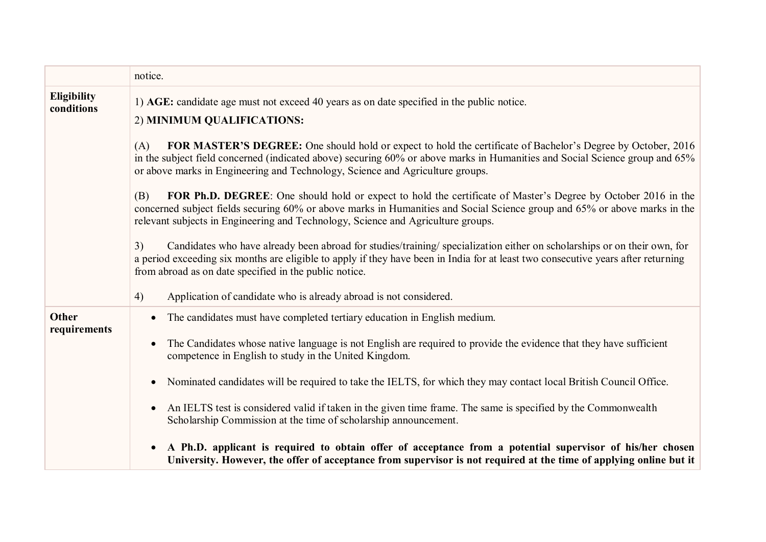|                                  | notice.                                                                                                                                                                                                                                                                                                                               |  |  |
|----------------------------------|---------------------------------------------------------------------------------------------------------------------------------------------------------------------------------------------------------------------------------------------------------------------------------------------------------------------------------------|--|--|
| <b>Eligibility</b><br>conditions | 1) AGE: candidate age must not exceed 40 years as on date specified in the public notice.<br>2) MINIMUM QUALIFICATIONS:                                                                                                                                                                                                               |  |  |
|                                  | FOR MASTER'S DEGREE: One should hold or expect to hold the certificate of Bachelor's Degree by October, 2016<br>(A)<br>in the subject field concerned (indicated above) securing 60% or above marks in Humanities and Social Science group and 65%<br>or above marks in Engineering and Technology, Science and Agriculture groups.   |  |  |
|                                  | FOR Ph.D. DEGREE: One should hold or expect to hold the certificate of Master's Degree by October 2016 in the<br>(B)<br>concerned subject fields securing 60% or above marks in Humanities and Social Science group and 65% or above marks in the<br>relevant subjects in Engineering and Technology, Science and Agriculture groups. |  |  |
|                                  | Candidates who have already been abroad for studies/training/ specialization either on scholarships or on their own, for<br>3)<br>a period exceeding six months are eligible to apply if they have been in India for at least two consecutive years after returning<br>from abroad as on date specified in the public notice.         |  |  |
|                                  | Application of candidate who is already abroad is not considered.<br>4)                                                                                                                                                                                                                                                               |  |  |
| <b>Other</b>                     | The candidates must have completed tertiary education in English medium.<br>$\bullet$                                                                                                                                                                                                                                                 |  |  |
| requirements                     | The Candidates whose native language is not English are required to provide the evidence that they have sufficient<br>$\bullet$<br>competence in English to study in the United Kingdom.                                                                                                                                              |  |  |
|                                  | Nominated candidates will be required to take the IELTS, for which they may contact local British Council Office.<br>$\bullet$                                                                                                                                                                                                        |  |  |
|                                  | An IELTS test is considered valid if taken in the given time frame. The same is specified by the Commonwealth<br>$\bullet$<br>Scholarship Commission at the time of scholarship announcement.                                                                                                                                         |  |  |
|                                  | A Ph.D. applicant is required to obtain offer of acceptance from a potential supervisor of his/her chosen<br>$\bullet$<br>University. However, the offer of acceptance from supervisor is not required at the time of applying online but it                                                                                          |  |  |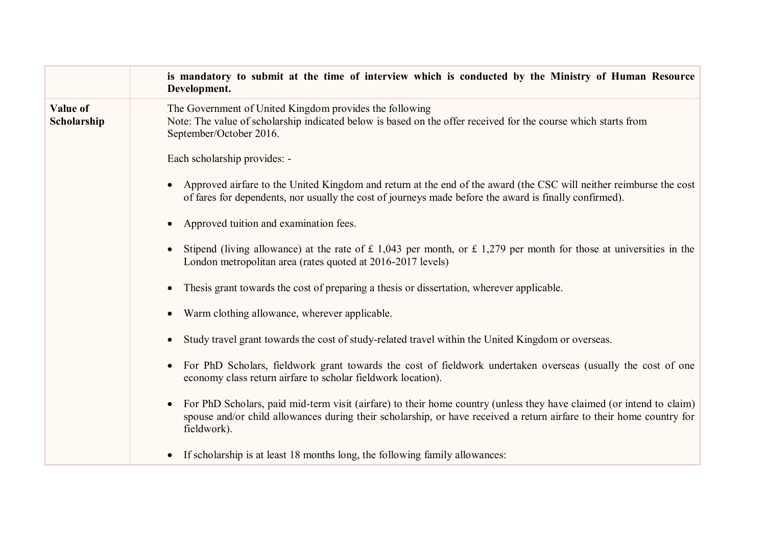|                         | is mandatory to submit at the time of interview which is conducted by the Ministry of Human Resource<br>Development.                                                                                                                                        |
|-------------------------|-------------------------------------------------------------------------------------------------------------------------------------------------------------------------------------------------------------------------------------------------------------|
| Value of<br>Scholarship | The Government of United Kingdom provides the following<br>Note: The value of scholarship indicated below is based on the offer received for the course which starts from<br>September/October 2016.                                                        |
|                         | Each scholarship provides: -                                                                                                                                                                                                                                |
|                         | Approved airfare to the United Kingdom and return at the end of the award (the CSC will neither reimburse the cost<br>of fares for dependents, nor usually the cost of journeys made before the award is finally confirmed).                                |
|                         | Approved tuition and examination fees.                                                                                                                                                                                                                      |
|                         | Stipend (living allowance) at the rate of $\pounds$ 1,043 per month, or $\pounds$ 1,279 per month for those at universities in the<br>London metropolitan area (rates quoted at 2016-2017 levels)                                                           |
|                         | Thesis grant towards the cost of preparing a thesis or dissertation, wherever applicable.                                                                                                                                                                   |
|                         | Warm clothing allowance, wherever applicable.                                                                                                                                                                                                               |
|                         | Study travel grant towards the cost of study-related travel within the United Kingdom or overseas.                                                                                                                                                          |
|                         | For PhD Scholars, fieldwork grant towards the cost of fieldwork undertaken overseas (usually the cost of one<br>economy class return airfare to scholar fieldwork location).                                                                                |
|                         | For PhD Scholars, paid mid-term visit (airfare) to their home country (unless they have claimed (or intend to claim)<br>spouse and/or child allowances during their scholarship, or have received a return airfare to their home country for<br>fieldwork). |
|                         | If scholarship is at least 18 months long, the following family allowances:                                                                                                                                                                                 |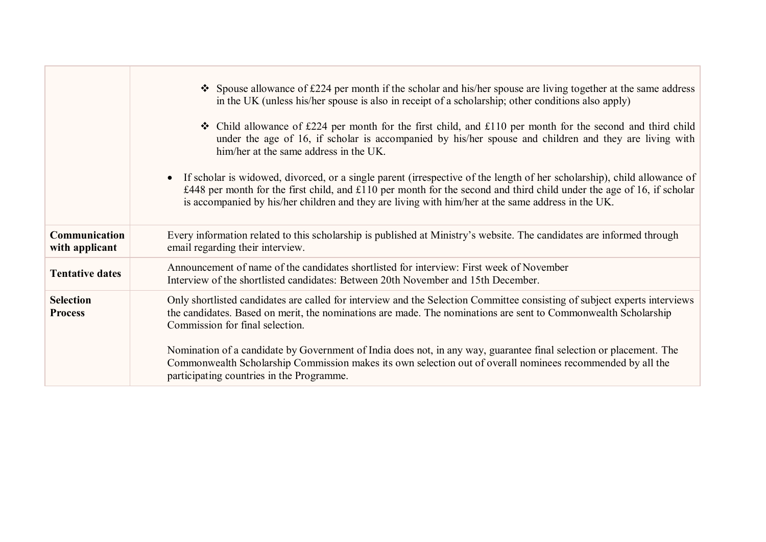|                                    | $\bullet$ Spouse allowance of £224 per month if the scholar and his/her spouse are living together at the same address<br>in the UK (unless his/her spouse is also in receipt of a scholarship; other conditions also apply)<br>$\div$ Child allowance of £224 per month for the first child, and £110 per month for the second and third child<br>under the age of 16, if scholar is accompanied by his/her spouse and children and they are living with<br>him/her at the same address in the UK.<br>• If scholar is widowed, divorced, or a single parent (irrespective of the length of her scholarship), child allowance of<br>£448 per month for the first child, and £110 per month for the second and third child under the age of 16, if scholar<br>is accompanied by his/her children and they are living with him/her at the same address in the UK. |
|------------------------------------|-----------------------------------------------------------------------------------------------------------------------------------------------------------------------------------------------------------------------------------------------------------------------------------------------------------------------------------------------------------------------------------------------------------------------------------------------------------------------------------------------------------------------------------------------------------------------------------------------------------------------------------------------------------------------------------------------------------------------------------------------------------------------------------------------------------------------------------------------------------------|
| Communication<br>with applicant    | Every information related to this scholarship is published at Ministry's website. The candidates are informed through<br>email regarding their interview.                                                                                                                                                                                                                                                                                                                                                                                                                                                                                                                                                                                                                                                                                                       |
| <b>Tentative dates</b>             | Announcement of name of the candidates shortlisted for interview: First week of November<br>Interview of the shortlisted candidates: Between 20th November and 15th December.                                                                                                                                                                                                                                                                                                                                                                                                                                                                                                                                                                                                                                                                                   |
| <b>Selection</b><br><b>Process</b> | Only shortlisted candidates are called for interview and the Selection Committee consisting of subject experts interviews<br>the candidates. Based on merit, the nominations are made. The nominations are sent to Commonwealth Scholarship<br>Commission for final selection.                                                                                                                                                                                                                                                                                                                                                                                                                                                                                                                                                                                  |
|                                    | Nomination of a candidate by Government of India does not, in any way, guarantee final selection or placement. The<br>Commonwealth Scholarship Commission makes its own selection out of overall nominees recommended by all the<br>participating countries in the Programme.                                                                                                                                                                                                                                                                                                                                                                                                                                                                                                                                                                                   |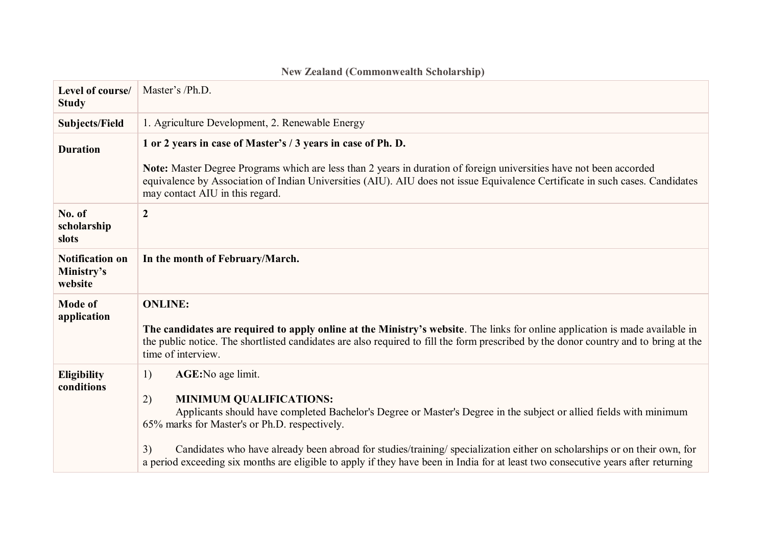| Level of course/<br><b>Study</b>                | Master's /Ph.D.                                                                                                                                                                                                                                                                                                                                                                                                                                                                                                       |  |
|-------------------------------------------------|-----------------------------------------------------------------------------------------------------------------------------------------------------------------------------------------------------------------------------------------------------------------------------------------------------------------------------------------------------------------------------------------------------------------------------------------------------------------------------------------------------------------------|--|
| <b>Subjects/Field</b>                           | 1. Agriculture Development, 2. Renewable Energy                                                                                                                                                                                                                                                                                                                                                                                                                                                                       |  |
| <b>Duration</b>                                 | 1 or 2 years in case of Master's / 3 years in case of Ph. D.                                                                                                                                                                                                                                                                                                                                                                                                                                                          |  |
|                                                 | Note: Master Degree Programs which are less than 2 years in duration of foreign universities have not been accorded<br>equivalence by Association of Indian Universities (AIU). AIU does not issue Equivalence Certificate in such cases. Candidates<br>may contact AIU in this regard.                                                                                                                                                                                                                               |  |
| No. of<br>scholarship<br>slots                  | $\boldsymbol{2}$                                                                                                                                                                                                                                                                                                                                                                                                                                                                                                      |  |
| <b>Notification on</b><br>Ministry's<br>website | In the month of February/March.                                                                                                                                                                                                                                                                                                                                                                                                                                                                                       |  |
| <b>Mode of</b><br>application                   | <b>ONLINE:</b><br>The candidates are required to apply online at the Ministry's website. The links for online application is made available in<br>the public notice. The shortlisted candidates are also required to fill the form prescribed by the donor country and to bring at the<br>time of interview.                                                                                                                                                                                                          |  |
| <b>Eligibility</b><br>conditions                | <b>AGE:</b> No age limit.<br>1)<br><b>MINIMUM QUALIFICATIONS:</b><br>2)<br>Applicants should have completed Bachelor's Degree or Master's Degree in the subject or allied fields with minimum<br>65% marks for Master's or Ph.D. respectively.<br>Candidates who have already been abroad for studies/training/ specialization either on scholarships or on their own, for<br>3)<br>a period exceeding six months are eligible to apply if they have been in India for at least two consecutive years after returning |  |

## **New Zealand (Commonwealth Scholarship)**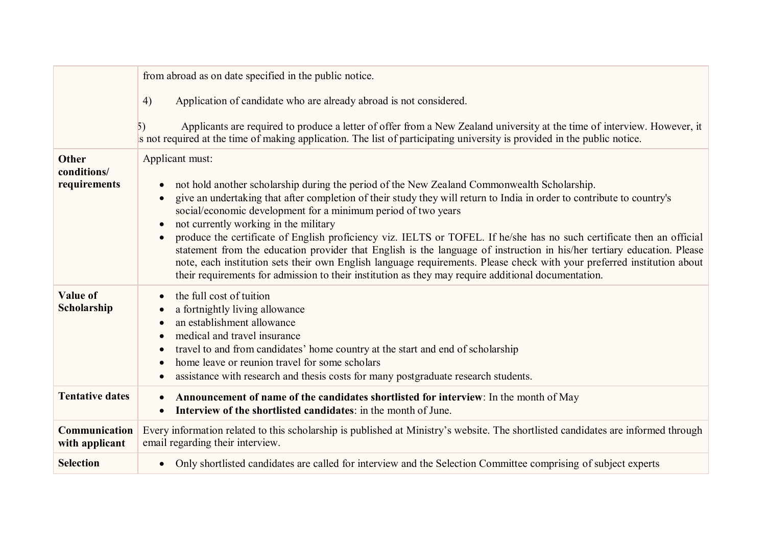|                                      | from abroad as on date specified in the public notice.                                                                                                                                                                                                                                                                                                                                                                                                                                                                                                                                                                                                                                                                                                                                                                                                 |  |
|--------------------------------------|--------------------------------------------------------------------------------------------------------------------------------------------------------------------------------------------------------------------------------------------------------------------------------------------------------------------------------------------------------------------------------------------------------------------------------------------------------------------------------------------------------------------------------------------------------------------------------------------------------------------------------------------------------------------------------------------------------------------------------------------------------------------------------------------------------------------------------------------------------|--|
|                                      | Application of candidate who are already abroad is not considered.<br>4)                                                                                                                                                                                                                                                                                                                                                                                                                                                                                                                                                                                                                                                                                                                                                                               |  |
|                                      | Applicants are required to produce a letter of offer from a New Zealand university at the time of interview. However, it<br>5)<br>is not required at the time of making application. The list of participating university is provided in the public notice.                                                                                                                                                                                                                                                                                                                                                                                                                                                                                                                                                                                            |  |
| Other<br>conditions/<br>requirements | Applicant must:<br>not hold another scholarship during the period of the New Zealand Commonwealth Scholarship.<br>give an undertaking that after completion of their study they will return to India in order to contribute to country's<br>social/economic development for a minimum period of two years<br>not currently working in the military<br>produce the certificate of English proficiency viz. IELTS or TOFEL. If he/she has no such certificate then an official<br>$\bullet$<br>statement from the education provider that English is the language of instruction in his/her tertiary education. Please<br>note, each institution sets their own English language requirements. Please check with your preferred institution about<br>their requirements for admission to their institution as they may require additional documentation. |  |
| Value of<br>Scholarship              | the full cost of tuition<br>a fortnightly living allowance<br>an establishment allowance<br>medical and travel insurance<br>travel to and from candidates' home country at the start and end of scholarship<br>home leave or reunion travel for some scholars<br>assistance with research and thesis costs for many postgraduate research students.                                                                                                                                                                                                                                                                                                                                                                                                                                                                                                    |  |
| <b>Tentative dates</b>               | Announcement of name of the candidates shortlisted for interview: In the month of May<br>٠<br>Interview of the shortlisted candidates: in the month of June.                                                                                                                                                                                                                                                                                                                                                                                                                                                                                                                                                                                                                                                                                           |  |
| Communication<br>with applicant      | Every information related to this scholarship is published at Ministry's website. The shortlisted candidates are informed through<br>email regarding their interview.                                                                                                                                                                                                                                                                                                                                                                                                                                                                                                                                                                                                                                                                                  |  |
| <b>Selection</b>                     | Only shortlisted candidates are called for interview and the Selection Committee comprising of subject experts<br>$\bullet$                                                                                                                                                                                                                                                                                                                                                                                                                                                                                                                                                                                                                                                                                                                            |  |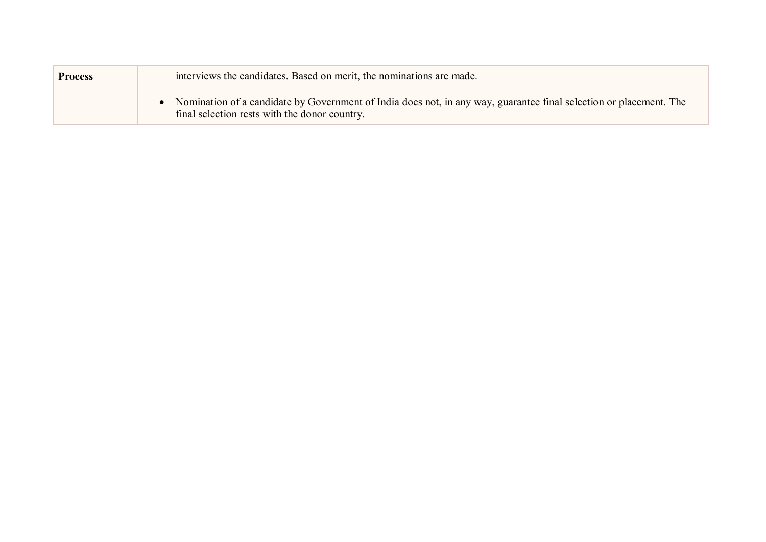| <b>Process</b> | interviews the candidates. Based on merit, the nominations are made.                                                                                                |
|----------------|---------------------------------------------------------------------------------------------------------------------------------------------------------------------|
|                | Nomination of a candidate by Government of India does not, in any way, guarantee final selection or placement. The<br>final selection rests with the donor country. |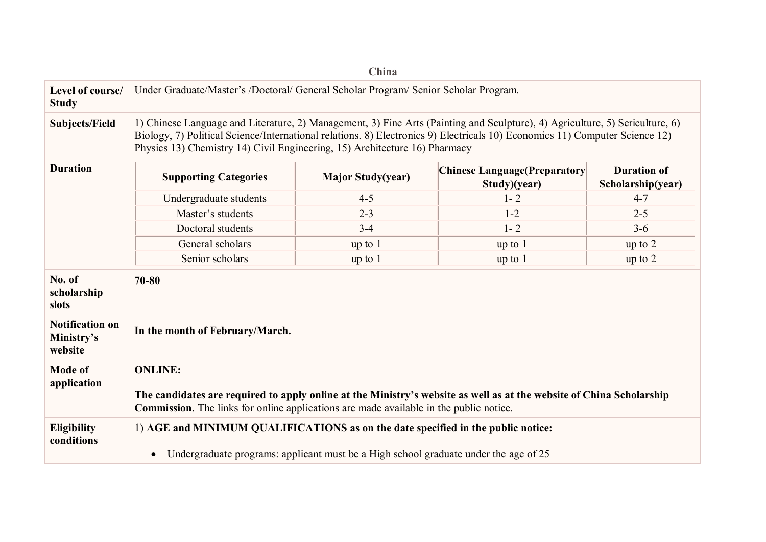|                                                 |                                                                                                                                                                                                                                                                                                                                           | China                    |                                                      |                                         |
|-------------------------------------------------|-------------------------------------------------------------------------------------------------------------------------------------------------------------------------------------------------------------------------------------------------------------------------------------------------------------------------------------------|--------------------------|------------------------------------------------------|-----------------------------------------|
| Level of course/<br><b>Study</b>                | Under Graduate/Master's /Doctoral/ General Scholar Program/ Senior Scholar Program.                                                                                                                                                                                                                                                       |                          |                                                      |                                         |
| <b>Subjects/Field</b>                           | 1) Chinese Language and Literature, 2) Management, 3) Fine Arts (Painting and Sculpture), 4) Agriculture, 5) Sericulture, 6)<br>Biology, 7) Political Science/International relations. 8) Electronics 9) Electricals 10) Economics 11) Computer Science 12)<br>Physics 13) Chemistry 14) Civil Engineering, 15) Architecture 16) Pharmacy |                          |                                                      |                                         |
| <b>Duration</b>                                 | <b>Supporting Categories</b>                                                                                                                                                                                                                                                                                                              | <b>Major Study(year)</b> | <b>Chinese Language (Preparatory</b><br>Study)(year) | <b>Duration of</b><br>Scholarship(year) |
|                                                 | Undergraduate students                                                                                                                                                                                                                                                                                                                    | $4 - 5$                  | $1 - 2$                                              | $4 - 7$                                 |
|                                                 | Master's students                                                                                                                                                                                                                                                                                                                         | $2 - 3$                  | $1 - 2$                                              | $2 - 5$                                 |
|                                                 | Doctoral students                                                                                                                                                                                                                                                                                                                         | $3 - 4$                  | $1 - 2$                                              | $3-6$                                   |
|                                                 | General scholars                                                                                                                                                                                                                                                                                                                          | up to 1                  | up to 1                                              | up to $2$                               |
|                                                 | Senior scholars                                                                                                                                                                                                                                                                                                                           | up to 1                  | up to 1                                              | up to $2$                               |
| No. of<br>scholarship<br>slots                  | 70-80                                                                                                                                                                                                                                                                                                                                     |                          |                                                      |                                         |
| <b>Notification on</b><br>Ministry's<br>website | In the month of February/March.                                                                                                                                                                                                                                                                                                           |                          |                                                      |                                         |
| <b>Mode of</b><br>application                   | <b>ONLINE:</b><br>The candidates are required to apply online at the Ministry's website as well as at the website of China Scholarship<br><b>Commission</b> . The links for online applications are made available in the public notice.                                                                                                  |                          |                                                      |                                         |
| <b>Eligibility</b><br>conditions                | 1) AGE and MINIMUM QUALIFICATIONS as on the date specified in the public notice:<br>Undergraduate programs: applicant must be a High school graduate under the age of 25<br>$\bullet$                                                                                                                                                     |                          |                                                      |                                         |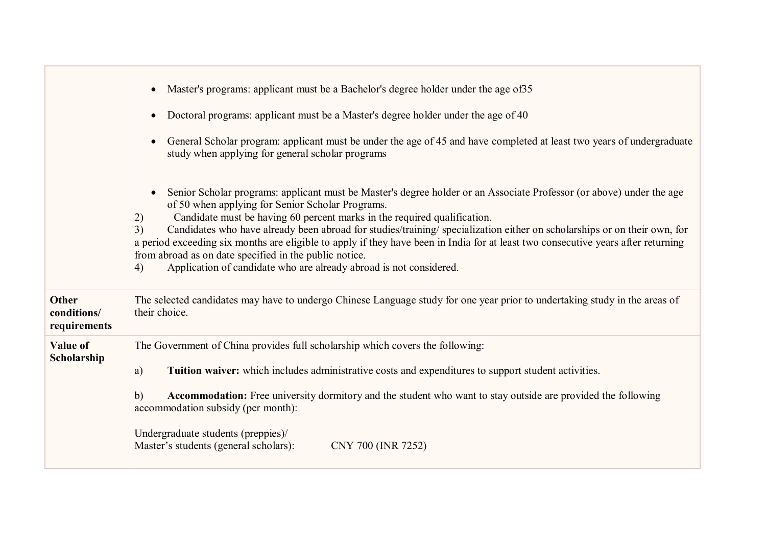|                                      | Master's programs: applicant must be a Bachelor's degree holder under the age of 35<br>Doctoral programs: applicant must be a Master's degree holder under the age of 40<br>General Scholar program: applicant must be under the age of 45 and have completed at least two years of undergraduate<br>study when applying for general scholar programs<br>Senior Scholar programs: applicant must be Master's degree holder or an Associate Professor (or above) under the age<br>of 50 when applying for Senior Scholar Programs.<br>Candidate must be having 60 percent marks in the required qualification.<br>2)<br>Candidates who have already been abroad for studies/training/ specialization either on scholarships or on their own, for<br>3)<br>a period exceeding six months are eligible to apply if they have been in India for at least two consecutive years after returning<br>from abroad as on date specified in the public notice.<br>Application of candidate who are already abroad is not considered.<br>4) |
|--------------------------------------|----------------------------------------------------------------------------------------------------------------------------------------------------------------------------------------------------------------------------------------------------------------------------------------------------------------------------------------------------------------------------------------------------------------------------------------------------------------------------------------------------------------------------------------------------------------------------------------------------------------------------------------------------------------------------------------------------------------------------------------------------------------------------------------------------------------------------------------------------------------------------------------------------------------------------------------------------------------------------------------------------------------------------------|
| Other<br>conditions/<br>requirements | The selected candidates may have to undergo Chinese Language study for one year prior to undertaking study in the areas of<br>their choice.                                                                                                                                                                                                                                                                                                                                                                                                                                                                                                                                                                                                                                                                                                                                                                                                                                                                                      |
| Value of<br>Scholarship              | The Government of China provides full scholarship which covers the following:<br>Tuition waiver: which includes administrative costs and expenditures to support student activities.<br>a)<br><b>Accommodation:</b> Free university dormitory and the student who want to stay outside are provided the following<br>b)<br>accommodation subsidy (per month):<br>Undergraduate students (preppies)/<br>Master's students (general scholars):<br>CNY 700 (INR 7252)                                                                                                                                                                                                                                                                                                                                                                                                                                                                                                                                                               |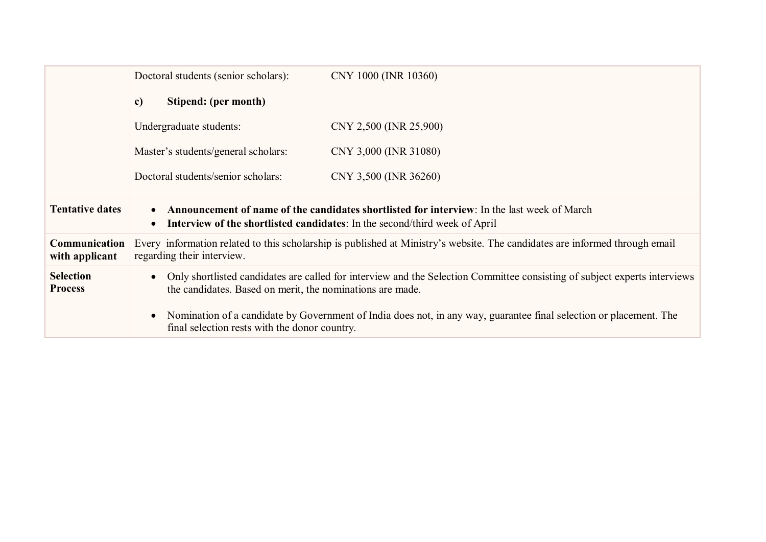|                                    | Doctoral students (senior scholars):                                                                                                                                                                        | CNY 1000 (INR 10360)                                                                                               |
|------------------------------------|-------------------------------------------------------------------------------------------------------------------------------------------------------------------------------------------------------------|--------------------------------------------------------------------------------------------------------------------|
|                                    | Stipend: (per month)<br>$\mathbf{c}$                                                                                                                                                                        |                                                                                                                    |
|                                    | Undergraduate students:                                                                                                                                                                                     | CNY 2,500 (INR 25,900)                                                                                             |
|                                    | Master's students/general scholars:                                                                                                                                                                         | CNY 3,000 (INR 31080)                                                                                              |
|                                    | Doctoral students/senior scholars:                                                                                                                                                                          | CNY 3,500 (INR 36260)                                                                                              |
| <b>Tentative dates</b>             | <b>Announcement of name of the candidates shortlisted for interview</b> : In the last week of March<br>$\bullet$<br>Interview of the shortlisted candidates: In the second/third week of April<br>$\bullet$ |                                                                                                                    |
| Communication<br>with applicant    | Every information related to this scholarship is published at Ministry's website. The candidates are informed through email<br>regarding their interview.                                                   |                                                                                                                    |
| <b>Selection</b><br><b>Process</b> | Only shortlisted candidates are called for interview and the Selection Committee consisting of subject experts interviews<br>$\bullet$<br>the candidates. Based on merit, the nominations are made.         |                                                                                                                    |
|                                    | $\bullet$<br>final selection rests with the donor country.                                                                                                                                                  | Nomination of a candidate by Government of India does not, in any way, guarantee final selection or placement. The |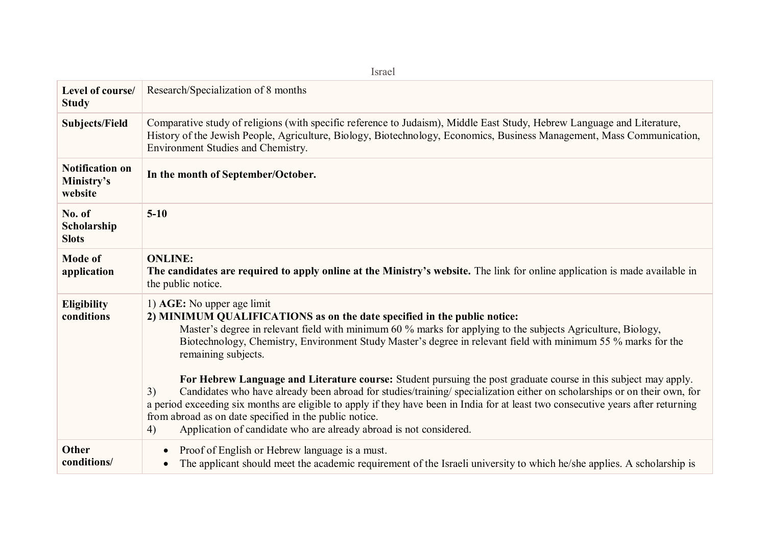| Israel                                          |                                                                                                                                                                                                                                                                                                                                                                                                                                                                                                                                                                                                                                                                                                                                                                                                                                                                                                |  |  |
|-------------------------------------------------|------------------------------------------------------------------------------------------------------------------------------------------------------------------------------------------------------------------------------------------------------------------------------------------------------------------------------------------------------------------------------------------------------------------------------------------------------------------------------------------------------------------------------------------------------------------------------------------------------------------------------------------------------------------------------------------------------------------------------------------------------------------------------------------------------------------------------------------------------------------------------------------------|--|--|
| Level of course/<br><b>Study</b>                | Research/Specialization of 8 months                                                                                                                                                                                                                                                                                                                                                                                                                                                                                                                                                                                                                                                                                                                                                                                                                                                            |  |  |
| <b>Subjects/Field</b>                           | Comparative study of religions (with specific reference to Judaism), Middle East Study, Hebrew Language and Literature,<br>History of the Jewish People, Agriculture, Biology, Biotechnology, Economics, Business Management, Mass Communication,<br>Environment Studies and Chemistry.                                                                                                                                                                                                                                                                                                                                                                                                                                                                                                                                                                                                        |  |  |
| <b>Notification on</b><br>Ministry's<br>website | In the month of September/October.                                                                                                                                                                                                                                                                                                                                                                                                                                                                                                                                                                                                                                                                                                                                                                                                                                                             |  |  |
| No. of<br>Scholarship<br><b>Slots</b>           | $5-10$                                                                                                                                                                                                                                                                                                                                                                                                                                                                                                                                                                                                                                                                                                                                                                                                                                                                                         |  |  |
| <b>Mode of</b><br>application                   | <b>ONLINE:</b><br>The candidates are required to apply online at the Ministry's website. The link for online application is made available in<br>the public notice.                                                                                                                                                                                                                                                                                                                                                                                                                                                                                                                                                                                                                                                                                                                            |  |  |
| <b>Eligibility</b><br>conditions                | 1) AGE: No upper age limit<br>2) MINIMUM QUALIFICATIONS as on the date specified in the public notice:<br>Master's degree in relevant field with minimum 60 % marks for applying to the subjects Agriculture, Biology,<br>Biotechnology, Chemistry, Environment Study Master's degree in relevant field with minimum 55 % marks for the<br>remaining subjects.<br>For Hebrew Language and Literature course: Student pursuing the post graduate course in this subject may apply.<br>Candidates who have already been abroad for studies/training/ specialization either on scholarships or on their own, for<br>3)<br>a period exceeding six months are eligible to apply if they have been in India for at least two consecutive years after returning<br>from abroad as on date specified in the public notice.<br>Application of candidate who are already abroad is not considered.<br>4) |  |  |
| Other<br>conditions/                            | Proof of English or Hebrew language is a must.<br>The applicant should meet the academic requirement of the Israeli university to which he/she applies. A scholarship is                                                                                                                                                                                                                                                                                                                                                                                                                                                                                                                                                                                                                                                                                                                       |  |  |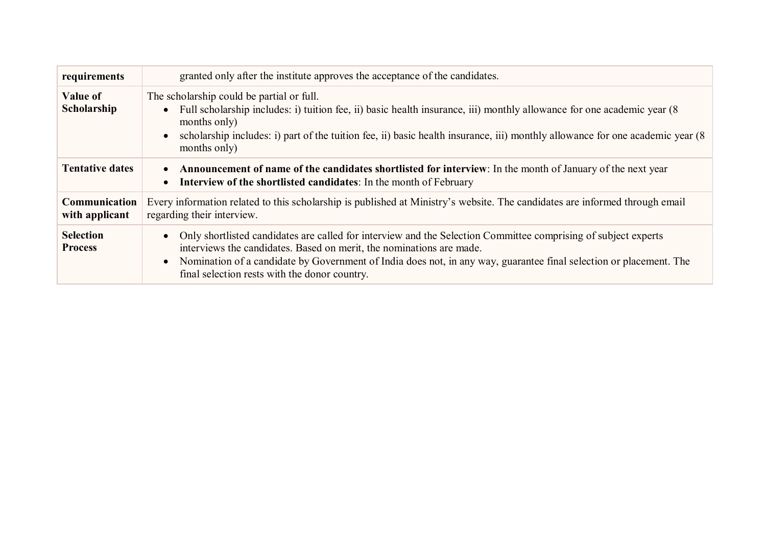| requirements                       | granted only after the institute approves the acceptance of the candidates.                                                                                                                                                                                                                                                                                   |
|------------------------------------|---------------------------------------------------------------------------------------------------------------------------------------------------------------------------------------------------------------------------------------------------------------------------------------------------------------------------------------------------------------|
| Value of<br>Scholarship            | The scholarship could be partial or full.<br>Full scholarship includes: i) tuition fee, ii) basic health insurance, iii) monthly allowance for one academic year (8<br>months only)<br>scholarship includes: i) part of the tuition fee, ii) basic health insurance, iii) monthly allowance for one academic year (8<br>months only)                          |
| <b>Tentative dates</b>             | • Announcement of name of the candidates shortlisted for interview: In the month of January of the next year<br>Interview of the shortlisted candidates: In the month of February                                                                                                                                                                             |
| Communication<br>with applicant    | Every information related to this scholarship is published at Ministry's website. The candidates are informed through email<br>regarding their interview.                                                                                                                                                                                                     |
| <b>Selection</b><br><b>Process</b> | Only shortlisted candidates are called for interview and the Selection Committee comprising of subject experts<br>interviews the candidates. Based on merit, the nominations are made.<br>Nomination of a candidate by Government of India does not, in any way, guarantee final selection or placement. The<br>final selection rests with the donor country. |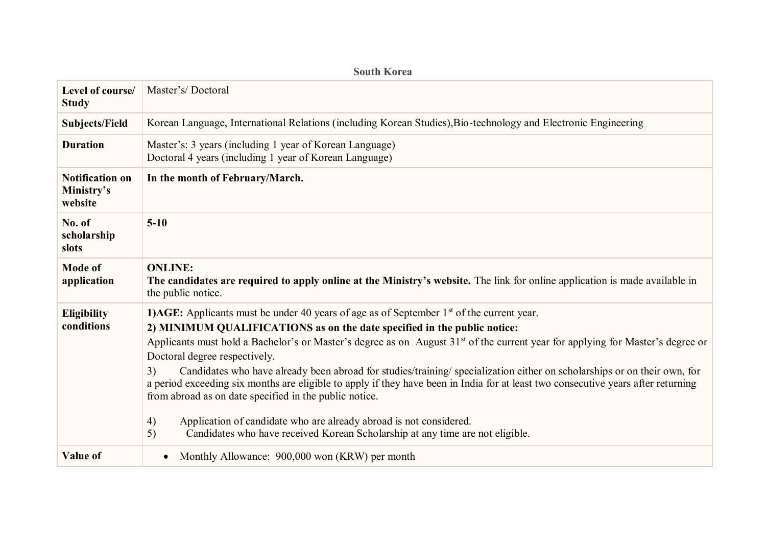|                                                 | <b>South Korea</b>                                                                                                                                                                                                                                                                                                                                                                                                                                                                                                                                                                                                                                                                                                                                                                                                                                               |
|-------------------------------------------------|------------------------------------------------------------------------------------------------------------------------------------------------------------------------------------------------------------------------------------------------------------------------------------------------------------------------------------------------------------------------------------------------------------------------------------------------------------------------------------------------------------------------------------------------------------------------------------------------------------------------------------------------------------------------------------------------------------------------------------------------------------------------------------------------------------------------------------------------------------------|
| Level of course/<br><b>Study</b>                | Master's/Doctoral                                                                                                                                                                                                                                                                                                                                                                                                                                                                                                                                                                                                                                                                                                                                                                                                                                                |
| <b>Subjects/Field</b>                           | Korean Language, International Relations (including Korean Studies), Bio-technology and Electronic Engineering                                                                                                                                                                                                                                                                                                                                                                                                                                                                                                                                                                                                                                                                                                                                                   |
| <b>Duration</b>                                 | Master's: 3 years (including 1 year of Korean Language)<br>Doctoral 4 years (including 1 year of Korean Language)                                                                                                                                                                                                                                                                                                                                                                                                                                                                                                                                                                                                                                                                                                                                                |
| <b>Notification on</b><br>Ministry's<br>website | In the month of February/March.                                                                                                                                                                                                                                                                                                                                                                                                                                                                                                                                                                                                                                                                                                                                                                                                                                  |
| No. of<br>scholarship<br>slots                  | $5 - 10$                                                                                                                                                                                                                                                                                                                                                                                                                                                                                                                                                                                                                                                                                                                                                                                                                                                         |
| <b>Mode of</b><br>application                   | <b>ONLINE:</b><br>The candidates are required to apply online at the Ministry's website. The link for online application is made available in<br>the public notice.                                                                                                                                                                                                                                                                                                                                                                                                                                                                                                                                                                                                                                                                                              |
| <b>Eligibility</b><br>conditions                | <b>1)AGE:</b> Applicants must be under 40 years of age as of September $1st$ of the current year.<br>2) MINIMUM QUALIFICATIONS as on the date specified in the public notice:<br>Applicants must hold a Bachelor's or Master's degree as on August 31 <sup>st</sup> of the current year for applying for Master's degree or<br>Doctoral degree respectively.<br>Candidates who have already been abroad for studies/training/ specialization either on scholarships or on their own, for<br>3)<br>a period exceeding six months are eligible to apply if they have been in India for at least two consecutive years after returning<br>from abroad as on date specified in the public notice.<br>4)<br>Application of candidate who are already abroad is not considered.<br>Candidates who have received Korean Scholarship at any time are not eligible.<br>5) |
| Value of                                        | Monthly Allowance: 900,000 won (KRW) per month<br>$\bullet$                                                                                                                                                                                                                                                                                                                                                                                                                                                                                                                                                                                                                                                                                                                                                                                                      |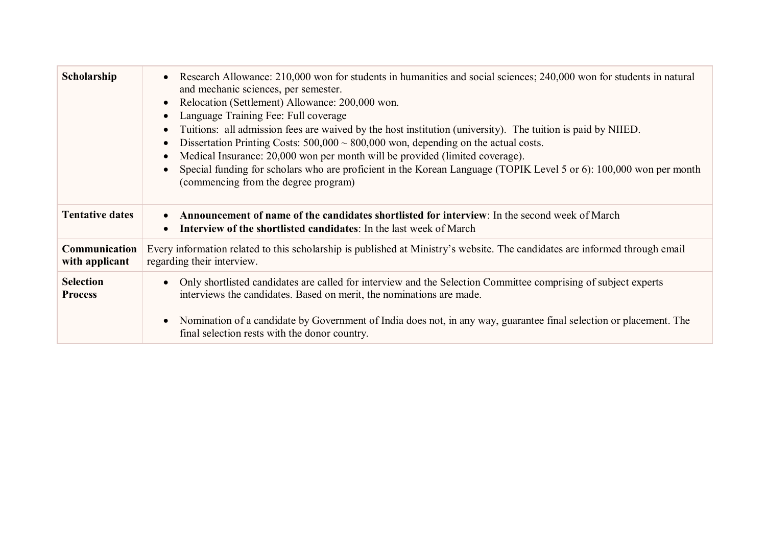| Scholarship                        | Research Allowance: 210,000 won for students in humanities and social sciences; 240,000 won for students in natural<br>and mechanic sciences, per semester.<br>Relocation (Settlement) Allowance: 200,000 won.<br>Language Training Fee: Full coverage<br>Tuitions: all admission fees are waived by the host institution (university). The tuition is paid by NIIED.<br>Dissertation Printing Costs: $500,000 \sim 800,000$ won, depending on the actual costs.<br>Medical Insurance: 20,000 won per month will be provided (limited coverage).<br>Special funding for scholars who are proficient in the Korean Language (TOPIK Level 5 or 6): 100,000 won per month<br>(commencing from the degree program) |
|------------------------------------|----------------------------------------------------------------------------------------------------------------------------------------------------------------------------------------------------------------------------------------------------------------------------------------------------------------------------------------------------------------------------------------------------------------------------------------------------------------------------------------------------------------------------------------------------------------------------------------------------------------------------------------------------------------------------------------------------------------|
| <b>Tentative dates</b>             | <b>Announcement of name of the candidates shortlisted for interview</b> : In the second week of March<br>Interview of the shortlisted candidates: In the last week of March                                                                                                                                                                                                                                                                                                                                                                                                                                                                                                                                    |
| Communication<br>with applicant    | Every information related to this scholarship is published at Ministry's website. The candidates are informed through email<br>regarding their interview.                                                                                                                                                                                                                                                                                                                                                                                                                                                                                                                                                      |
| <b>Selection</b><br><b>Process</b> | Only shortlisted candidates are called for interview and the Selection Committee comprising of subject experts<br>interviews the candidates. Based on merit, the nominations are made.<br>Nomination of a candidate by Government of India does not, in any way, guarantee final selection or placement. The<br>final selection rests with the donor country.                                                                                                                                                                                                                                                                                                                                                  |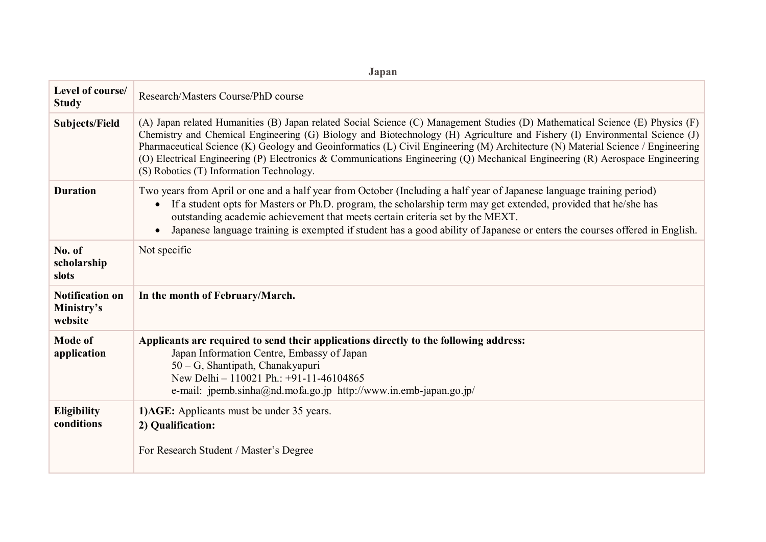| опран                                           |                                                                                                                                                                                                                                                                                                                                                                                                                                                                                                                                                                            |
|-------------------------------------------------|----------------------------------------------------------------------------------------------------------------------------------------------------------------------------------------------------------------------------------------------------------------------------------------------------------------------------------------------------------------------------------------------------------------------------------------------------------------------------------------------------------------------------------------------------------------------------|
| Level of course/<br><b>Study</b>                | Research/Masters Course/PhD course                                                                                                                                                                                                                                                                                                                                                                                                                                                                                                                                         |
| <b>Subjects/Field</b>                           | (A) Japan related Humanities (B) Japan related Social Science (C) Management Studies (D) Mathematical Science (E) Physics (F)<br>Chemistry and Chemical Engineering (G) Biology and Biotechnology (H) Agriculture and Fishery (I) Environmental Science (J)<br>Pharmaceutical Science (K) Geology and Geoinformatics (L) Civil Engineering (M) Architecture (N) Material Science / Engineering<br>(O) Electrical Engineering (P) Electronics & Communications Engineering (Q) Mechanical Engineering (R) Aerospace Engineering<br>(S) Robotics (T) Information Technology. |
| <b>Duration</b>                                 | Two years from April or one and a half year from October (Including a half year of Japanese language training period)<br>If a student opts for Masters or Ph.D. program, the scholarship term may get extended, provided that he/she has<br>$\bullet$<br>outstanding academic achievement that meets certain criteria set by the MEXT.<br>Japanese language training is exempted if student has a good ability of Japanese or enters the courses offered in English.<br>$\bullet$                                                                                          |
| No. of<br>scholarship<br>slots                  | Not specific                                                                                                                                                                                                                                                                                                                                                                                                                                                                                                                                                               |
| <b>Notification on</b><br>Ministry's<br>website | In the month of February/March.                                                                                                                                                                                                                                                                                                                                                                                                                                                                                                                                            |
| <b>Mode of</b><br>application                   | Applicants are required to send their applications directly to the following address:<br>Japan Information Centre, Embassy of Japan<br>50 - G, Shantipath, Chanakyapuri<br>New Delhi - 110021 Ph.: +91-11-46104865<br>e-mail: jpemb.sinha@nd.mofa.go.jp http://www.in.emb-japan.go.jp/                                                                                                                                                                                                                                                                                     |
| Eligibility<br>conditions                       | 1) AGE: Applicants must be under 35 years.<br>2) Qualification:<br>For Research Student / Master's Degree                                                                                                                                                                                                                                                                                                                                                                                                                                                                  |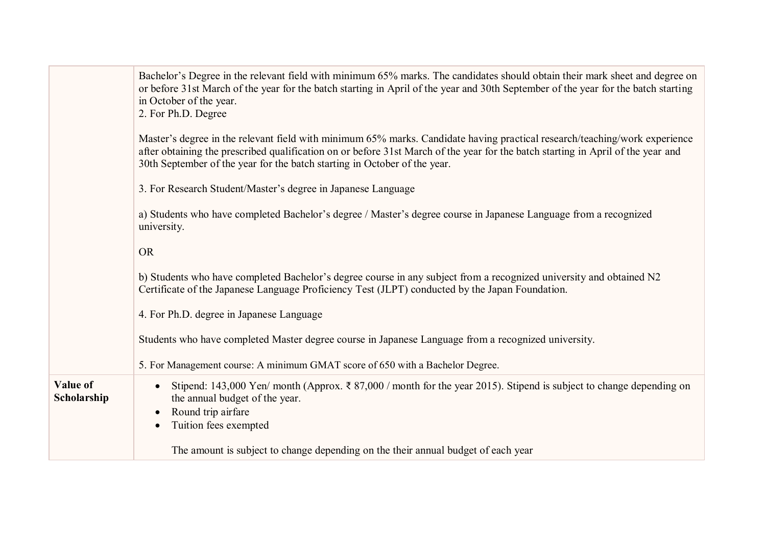|                         | Bachelor's Degree in the relevant field with minimum 65% marks. The candidates should obtain their mark sheet and degree on<br>or before 31st March of the year for the batch starting in April of the year and 30th September of the year for the batch starting<br>in October of the year.<br>2. For Ph.D. Degree                         |
|-------------------------|---------------------------------------------------------------------------------------------------------------------------------------------------------------------------------------------------------------------------------------------------------------------------------------------------------------------------------------------|
|                         | Master's degree in the relevant field with minimum 65% marks. Candidate having practical research/teaching/work experience<br>after obtaining the prescribed qualification on or before 31st March of the year for the batch starting in April of the year and<br>30th September of the year for the batch starting in October of the year. |
|                         | 3. For Research Student/Master's degree in Japanese Language                                                                                                                                                                                                                                                                                |
|                         | a) Students who have completed Bachelor's degree / Master's degree course in Japanese Language from a recognized<br>university.                                                                                                                                                                                                             |
|                         | <b>OR</b>                                                                                                                                                                                                                                                                                                                                   |
|                         | b) Students who have completed Bachelor's degree course in any subject from a recognized university and obtained N2<br>Certificate of the Japanese Language Proficiency Test (JLPT) conducted by the Japan Foundation.                                                                                                                      |
|                         | 4. For Ph.D. degree in Japanese Language                                                                                                                                                                                                                                                                                                    |
|                         | Students who have completed Master degree course in Japanese Language from a recognized university.                                                                                                                                                                                                                                         |
|                         | 5. For Management course: A minimum GMAT score of 650 with a Bachelor Degree.                                                                                                                                                                                                                                                               |
| Value of<br>Scholarship | Stipend: 143,000 Yen/ month (Approx. $\bar{\tau}$ 87,000 / month for the year 2015). Stipend is subject to change depending on<br>the annual budget of the year.<br>Round trip airfare<br>Tuition fees exempted                                                                                                                             |
|                         | The amount is subject to change depending on the their annual budget of each year                                                                                                                                                                                                                                                           |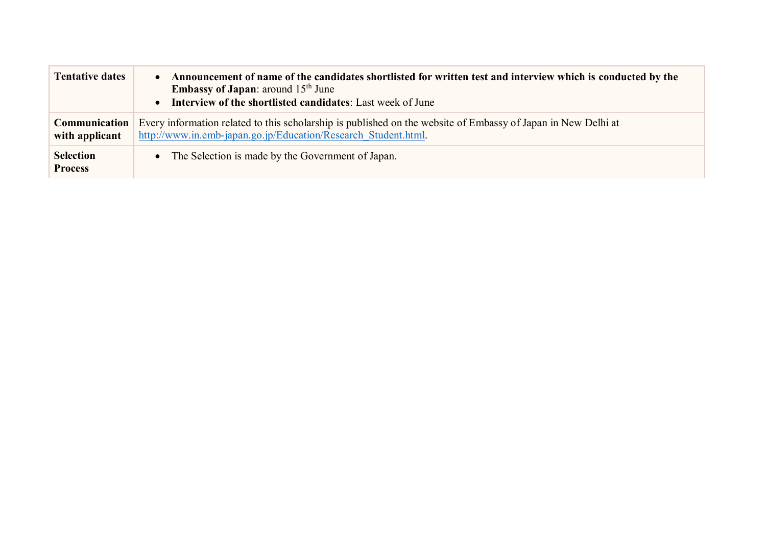| <b>Tentative dates</b>             | Announcement of name of the candidates shortlisted for written test and interview which is conducted by the<br><b>Embassy of Japan:</b> around $15th$ June<br>Interview of the shortlisted candidates: Last week of June |  |
|------------------------------------|--------------------------------------------------------------------------------------------------------------------------------------------------------------------------------------------------------------------------|--|
| Communication<br>with applicant    | Every information related to this scholarship is published on the website of Embassy of Japan in New Delhi at<br>http://www.in.emb-japan.go.jp/Education/Research Student.html.                                          |  |
| <b>Selection</b><br><b>Process</b> | The Selection is made by the Government of Japan.                                                                                                                                                                        |  |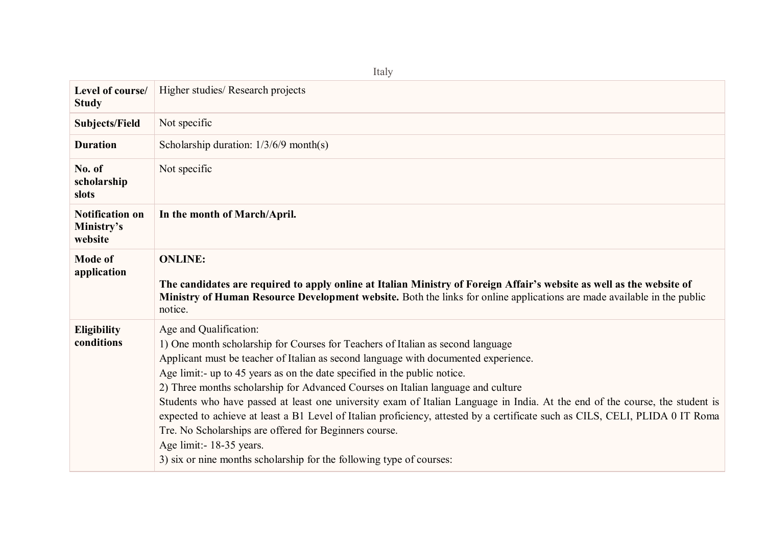| Level of course/<br><b>Study</b>                | Higher studies/ Research projects                                                                                                                                                                                                                                                                                                                                                                                                                                                                                                                                                                                                                                                                                                                                                                 |
|-------------------------------------------------|---------------------------------------------------------------------------------------------------------------------------------------------------------------------------------------------------------------------------------------------------------------------------------------------------------------------------------------------------------------------------------------------------------------------------------------------------------------------------------------------------------------------------------------------------------------------------------------------------------------------------------------------------------------------------------------------------------------------------------------------------------------------------------------------------|
| <b>Subjects/Field</b>                           | Not specific                                                                                                                                                                                                                                                                                                                                                                                                                                                                                                                                                                                                                                                                                                                                                                                      |
| <b>Duration</b>                                 | Scholarship duration: $1/3/6/9$ month(s)                                                                                                                                                                                                                                                                                                                                                                                                                                                                                                                                                                                                                                                                                                                                                          |
| No. of<br>scholarship<br>slots                  | Not specific                                                                                                                                                                                                                                                                                                                                                                                                                                                                                                                                                                                                                                                                                                                                                                                      |
| <b>Notification on</b><br>Ministry's<br>website | In the month of March/April.                                                                                                                                                                                                                                                                                                                                                                                                                                                                                                                                                                                                                                                                                                                                                                      |
| <b>Mode of</b><br>application                   | <b>ONLINE:</b><br>The candidates are required to apply online at Italian Ministry of Foreign Affair's website as well as the website of<br><b>Ministry of Human Resource Development website.</b> Both the links for online applications are made available in the public<br>notice.                                                                                                                                                                                                                                                                                                                                                                                                                                                                                                              |
| Eligibility<br>conditions                       | Age and Qualification:<br>1) One month scholarship for Courses for Teachers of Italian as second language<br>Applicant must be teacher of Italian as second language with documented experience.<br>Age limit:- up to 45 years as on the date specified in the public notice.<br>2) Three months scholarship for Advanced Courses on Italian language and culture<br>Students who have passed at least one university exam of Italian Language in India. At the end of the course, the student is<br>expected to achieve at least a B1 Level of Italian proficiency, attested by a certificate such as CILS, CELI, PLIDA 0 IT Roma<br>Tre. No Scholarships are offered for Beginners course.<br>Age limit: - 18-35 years.<br>3) six or nine months scholarship for the following type of courses: |

Italy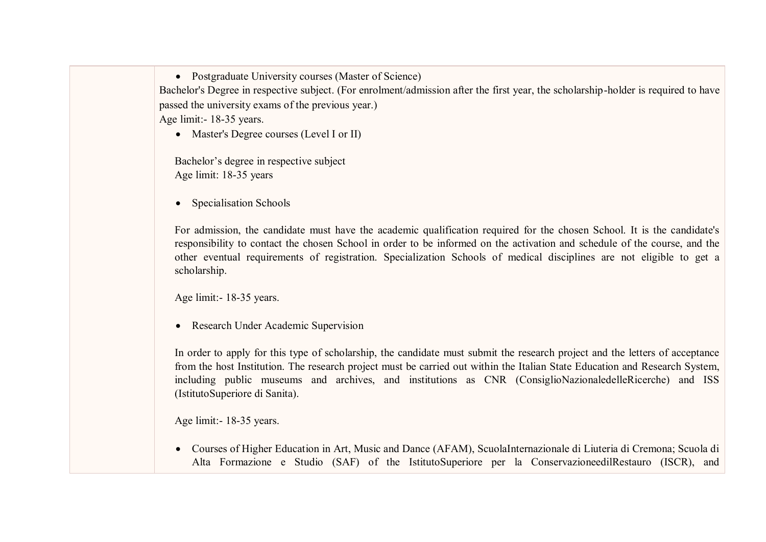• Postgraduate University courses (Master of Science) Bachelor's Degree in respective subject. (For enrolment/admission after the first year, the scholarship-holder is required to have passed the university exams of the previous year.) Age limit:- 18-35 years.

• Master's Degree courses (Level I or II)

Bachelor's degree in respective subject Age limit: 18-35 years

• Specialisation Schools

For admission, the candidate must have the academic qualification required for the chosen School. It is the candidate's responsibility to contact the chosen School in order to be informed on the activation and schedule of the course, and the other eventual requirements of registration. Specialization Schools of medical disciplines are not eligible to get a scholarship.

Age limit:- 18-35 years.

• Research Under Academic Supervision

In order to apply for this type of scholarship, the candidate must submit the research project and the letters of acceptance from the host Institution. The research project must be carried out within the Italian State Education and Research System, including public museums and archives, and institutions as CNR (ConsiglioNazionaledelleRicerche) and ISS (IstitutoSuperiore di Sanita).

Age limit:- 18-35 years.

 Courses of Higher Education in Art, Music and Dance (AFAM), ScuolaInternazionale di Liuteria di Cremona; Scuola di Alta Formazione e Studio (SAF) of the IstitutoSuperiore per la ConservazioneedilRestauro (ISCR), and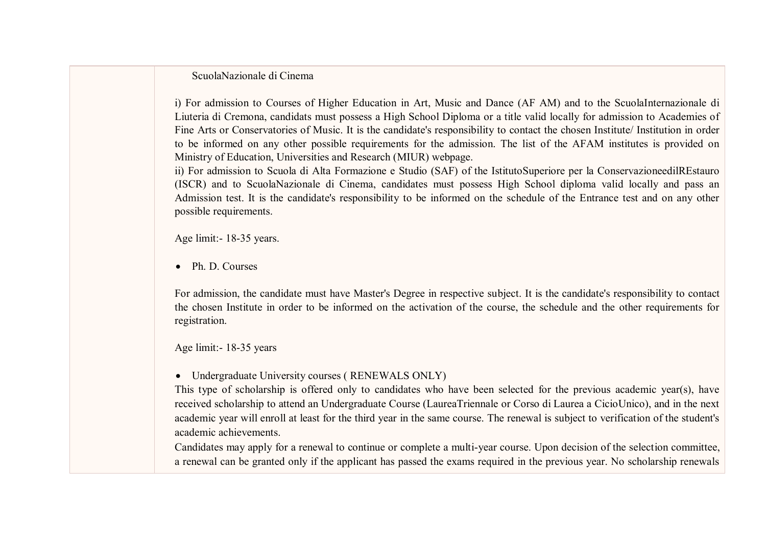ScuolaNazionale di Cinema

i) For admission to Courses of Higher Education in Art, Music and Dance (AF AM) and to the ScuolaInternazionale di Liuteria di Cremona, candidats must possess a High School Diploma or a title valid locally for admission to Academies of Fine Arts or Conservatories of Music. It is the candidate's responsibility to contact the chosen Institute/ Institution in order to be informed on any other possible requirements for the admission. The list of the AFAM institutes is provided on Ministry of Education, Universities and Research (MIUR) webpage.

ii) For admission to Scuola di Alta Formazione e Studio (SAF) of the IstitutoSuperiore per la ConservazioneedilREstauro (ISCR) and to ScuolaNazionale di Cinema, candidates must possess High School diploma valid locally and pass an Admission test. It is the candidate's responsibility to be informed on the schedule of the Entrance test and on any other possible requirements.

Age limit:- 18-35 years.

• Ph. D. Courses

For admission, the candidate must have Master's Degree in respective subject. It is the candidate's responsibility to contact the chosen Institute in order to be informed on the activation of the course, the schedule and the other requirements for registration.

Age limit:- 18-35 years

Undergraduate University courses ( RENEWALS ONLY)

This type of scholarship is offered only to candidates who have been selected for the previous academic year(s), have received scholarship to attend an Undergraduate Course (LaureaTriennale or Corso di Laurea a CicioUnico), and in the next academic year will enroll at least for the third year in the same course. The renewal is subject to verification of the student's academic achievements.

Candidates may apply for a renewal to continue or complete a multi-year course. Upon decision of the selection committee, a renewal can be granted only if the applicant has passed the exams required in the previous year. No scholarship renewals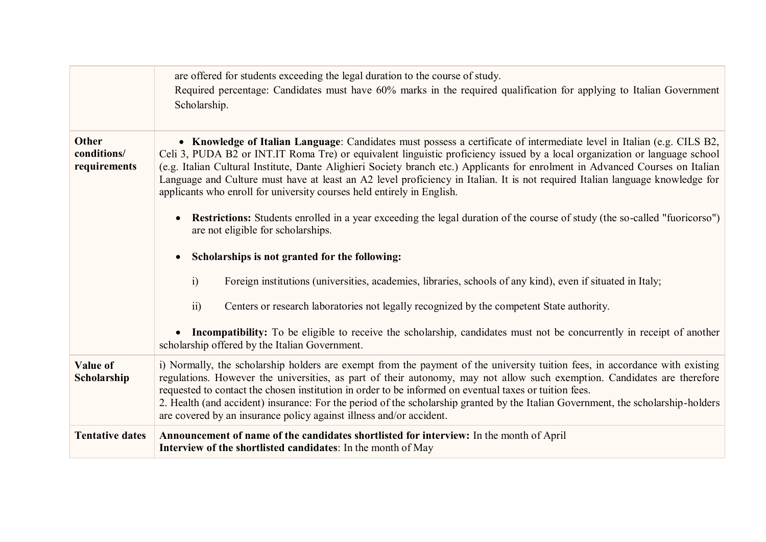|                                             | are offered for students exceeding the legal duration to the course of study.<br>Required percentage: Candidates must have 60% marks in the required qualification for applying to Italian Government<br>Scholarship.                                                                                                                                                                                                                                                                                                                                                                             |
|---------------------------------------------|---------------------------------------------------------------------------------------------------------------------------------------------------------------------------------------------------------------------------------------------------------------------------------------------------------------------------------------------------------------------------------------------------------------------------------------------------------------------------------------------------------------------------------------------------------------------------------------------------|
| <b>Other</b><br>conditions/<br>requirements | • Knowledge of Italian Language: Candidates must possess a certificate of intermediate level in Italian (e.g. CILS B2,<br>Celi 3, PUDA B2 or INT.IT Roma Tre) or equivalent linguistic proficiency issued by a local organization or language school<br>(e.g. Italian Cultural Institute, Dante Alighieri Society branch etc.) Applicants for enrolment in Advanced Courses on Italian<br>Language and Culture must have at least an A2 level proficiency in Italian. It is not required Italian language knowledge for<br>applicants who enroll for university courses held entirely in English. |
|                                             | <b>Restrictions:</b> Students enrolled in a year exceeding the legal duration of the course of study (the so-called "fuoricorso")<br>are not eligible for scholarships.                                                                                                                                                                                                                                                                                                                                                                                                                           |
|                                             | Scholarships is not granted for the following:                                                                                                                                                                                                                                                                                                                                                                                                                                                                                                                                                    |
|                                             | i)<br>Foreign institutions (universities, academies, libraries, schools of any kind), even if situated in Italy;                                                                                                                                                                                                                                                                                                                                                                                                                                                                                  |
|                                             | Centers or research laboratories not legally recognized by the competent State authority.<br>$\overline{11}$                                                                                                                                                                                                                                                                                                                                                                                                                                                                                      |
|                                             | • Incompatibility: To be eligible to receive the scholarship, candidates must not be concurrently in receipt of another<br>scholarship offered by the Italian Government.                                                                                                                                                                                                                                                                                                                                                                                                                         |
| Value of<br>Scholarship                     | i) Normally, the scholarship holders are exempt from the payment of the university tuition fees, in accordance with existing<br>regulations. However the universities, as part of their autonomy, may not allow such exemption. Candidates are therefore<br>requested to contact the chosen institution in order to be informed on eventual taxes or tuition fees.<br>2. Health (and accident) insurance: For the period of the scholarship granted by the Italian Government, the scholarship-holders<br>are covered by an insurance policy against illness and/or accident.                     |
| <b>Tentative dates</b>                      | Announcement of name of the candidates shortlisted for interview: In the month of April<br>Interview of the shortlisted candidates: In the month of May                                                                                                                                                                                                                                                                                                                                                                                                                                           |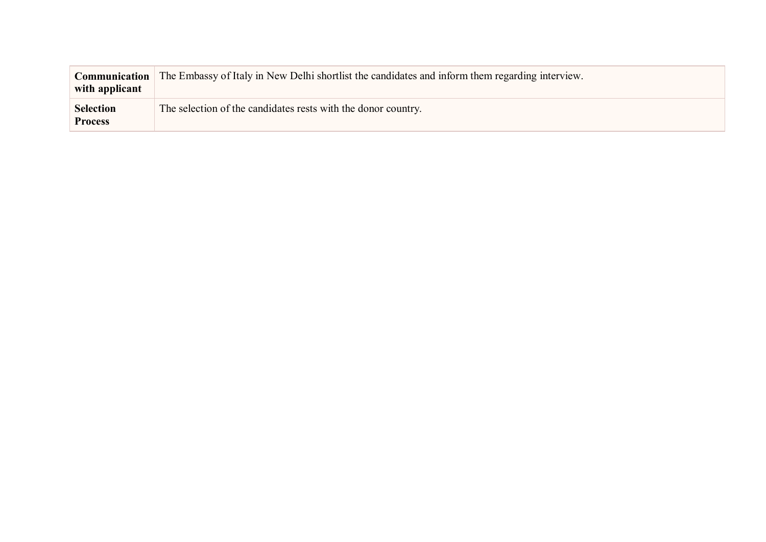| <b>Communication</b><br>with applicant | The Embassy of Italy in New Delhi shortlist the candidates and inform them regarding interview. |
|----------------------------------------|-------------------------------------------------------------------------------------------------|
| <b>Selection</b><br><b>Process</b>     | The selection of the candidates rests with the donor country.                                   |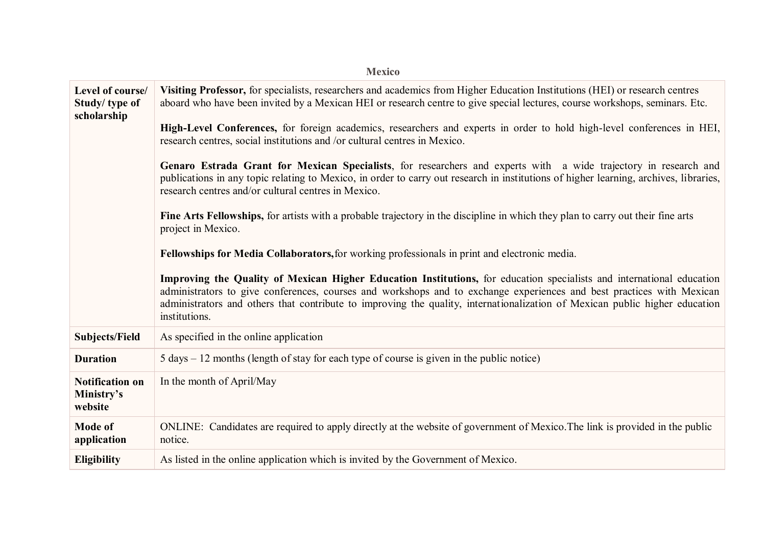| <b>Mexico</b>                                    |                                                                                                                                                                                                                                                                                                                                                                                                |  |
|--------------------------------------------------|------------------------------------------------------------------------------------------------------------------------------------------------------------------------------------------------------------------------------------------------------------------------------------------------------------------------------------------------------------------------------------------------|--|
| Level of course/<br>Study/type of<br>scholarship | Visiting Professor, for specialists, researchers and academics from Higher Education Institutions (HEI) or research centres<br>aboard who have been invited by a Mexican HEI or research centre to give special lectures, course workshops, seminars. Etc.                                                                                                                                     |  |
|                                                  | High-Level Conferences, for foreign academics, researchers and experts in order to hold high-level conferences in HEI,<br>research centres, social institutions and /or cultural centres in Mexico.                                                                                                                                                                                            |  |
|                                                  | Genaro Estrada Grant for Mexican Specialists, for researchers and experts with a wide trajectory in research and<br>publications in any topic relating to Mexico, in order to carry out research in institutions of higher learning, archives, libraries,<br>research centres and/or cultural centres in Mexico.                                                                               |  |
|                                                  | Fine Arts Fellowships, for artists with a probable trajectory in the discipline in which they plan to carry out their fine arts<br>project in Mexico.                                                                                                                                                                                                                                          |  |
|                                                  | Fellowships for Media Collaborators, for working professionals in print and electronic media.                                                                                                                                                                                                                                                                                                  |  |
|                                                  | Improving the Quality of Mexican Higher Education Institutions, for education specialists and international education<br>administrators to give conferences, courses and workshops and to exchange experiences and best practices with Mexican<br>administrators and others that contribute to improving the quality, internationalization of Mexican public higher education<br>institutions. |  |
| <b>Subjects/Field</b>                            | As specified in the online application                                                                                                                                                                                                                                                                                                                                                         |  |
| <b>Duration</b>                                  | $5 \text{ days} - 12 \text{ months}$ (length of stay for each type of course is given in the public notice)                                                                                                                                                                                                                                                                                    |  |
| <b>Notification on</b><br>Ministry's<br>website  | In the month of April/May                                                                                                                                                                                                                                                                                                                                                                      |  |
| <b>Mode of</b><br>application                    | ONLINE: Candidates are required to apply directly at the website of government of Mexico. The link is provided in the public<br>notice.                                                                                                                                                                                                                                                        |  |
| <b>Eligibility</b>                               | As listed in the online application which is invited by the Government of Mexico.                                                                                                                                                                                                                                                                                                              |  |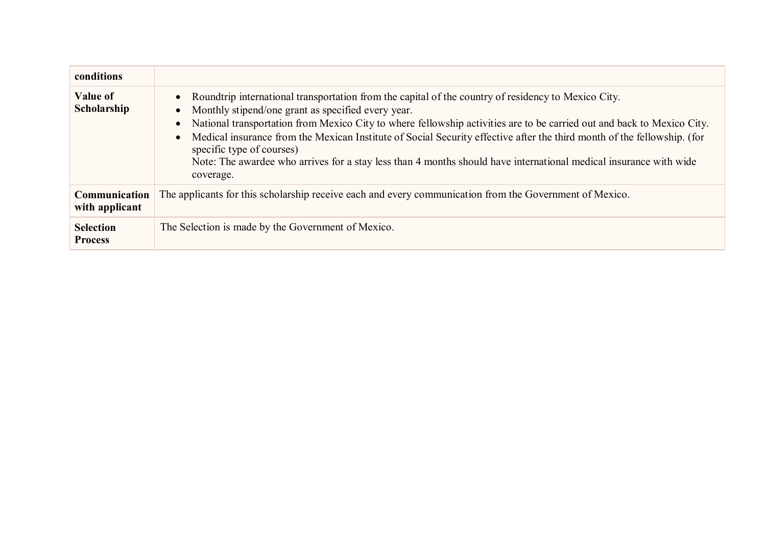| conditions                         |                                                                                                                                                                                                                                                                                                                                                                                                                                                                                                                                                                                                                                   |
|------------------------------------|-----------------------------------------------------------------------------------------------------------------------------------------------------------------------------------------------------------------------------------------------------------------------------------------------------------------------------------------------------------------------------------------------------------------------------------------------------------------------------------------------------------------------------------------------------------------------------------------------------------------------------------|
| Value of<br>Scholarship            | Roundtrip international transportation from the capital of the country of residency to Mexico City.<br>$\bullet$<br>Monthly stipend/one grant as specified every year.<br>$\bullet$<br>National transportation from Mexico City to where fellowship activities are to be carried out and back to Mexico City.<br>$\bullet$<br>Medical insurance from the Mexican Institute of Social Security effective after the third month of the fellowship. (for<br>$\bullet$<br>specific type of courses)<br>Note: The awardee who arrives for a stay less than 4 months should have international medical insurance with wide<br>coverage. |
| Communication<br>with applicant    | The applicants for this scholarship receive each and every communication from the Government of Mexico.                                                                                                                                                                                                                                                                                                                                                                                                                                                                                                                           |
| <b>Selection</b><br><b>Process</b> | The Selection is made by the Government of Mexico.                                                                                                                                                                                                                                                                                                                                                                                                                                                                                                                                                                                |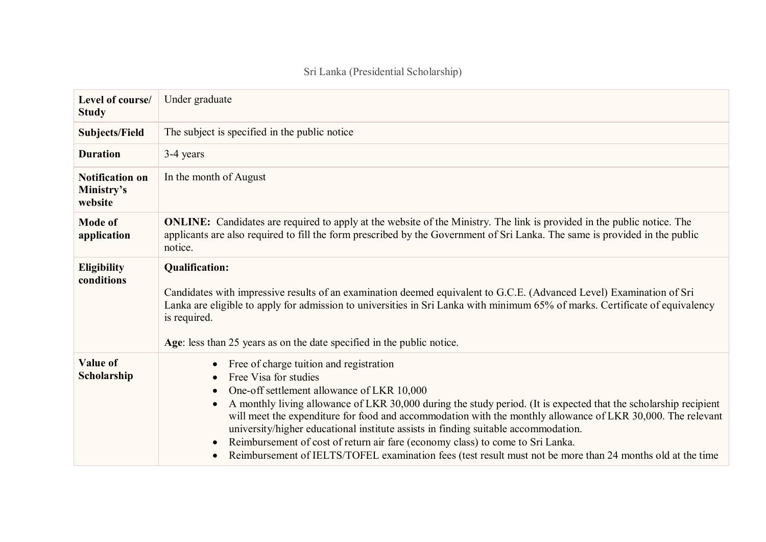| Level of course/<br><b>Study</b>                | Under graduate                                                                                                                                                                                                                                                                                                                                                                                                                                                                                                                                                                                                                          |
|-------------------------------------------------|-----------------------------------------------------------------------------------------------------------------------------------------------------------------------------------------------------------------------------------------------------------------------------------------------------------------------------------------------------------------------------------------------------------------------------------------------------------------------------------------------------------------------------------------------------------------------------------------------------------------------------------------|
| <b>Subjects/Field</b>                           | The subject is specified in the public notice                                                                                                                                                                                                                                                                                                                                                                                                                                                                                                                                                                                           |
| <b>Duration</b>                                 | 3-4 years                                                                                                                                                                                                                                                                                                                                                                                                                                                                                                                                                                                                                               |
| <b>Notification on</b><br>Ministry's<br>website | In the month of August                                                                                                                                                                                                                                                                                                                                                                                                                                                                                                                                                                                                                  |
| <b>Mode of</b><br>application                   | <b>ONLINE:</b> Candidates are required to apply at the website of the Ministry. The link is provided in the public notice. The<br>applicants are also required to fill the form prescribed by the Government of Sri Lanka. The same is provided in the public<br>notice.                                                                                                                                                                                                                                                                                                                                                                |
| <b>Eligibility</b><br>conditions                | <b>Qualification:</b><br>Candidates with impressive results of an examination deemed equivalent to G.C.E. (Advanced Level) Examination of Sri<br>Lanka are eligible to apply for admission to universities in Sri Lanka with minimum 65% of marks. Certificate of equivalency<br>is required.<br>Age: less than 25 years as on the date specified in the public notice.                                                                                                                                                                                                                                                                 |
| <b>Value of</b><br>Scholarship                  | Free of charge tuition and registration<br>Free Visa for studies<br>One-off settlement allowance of LKR 10,000<br>A monthly living allowance of LKR 30,000 during the study period. (It is expected that the scholarship recipient<br>will meet the expenditure for food and accommodation with the monthly allowance of LKR 30,000. The relevant<br>university/higher educational institute assists in finding suitable accommodation.<br>Reimbursement of cost of return air fare (economy class) to come to Sri Lanka.<br>Reimbursement of IELTS/TOFEL examination fees (test result must not be more than 24 months old at the time |